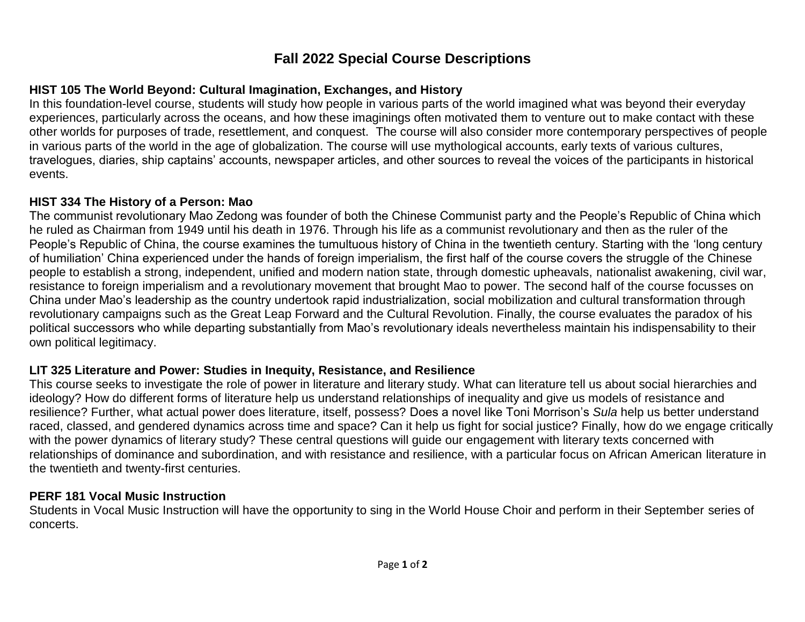# **Fall 2022 Special Course Descriptions**

## **HIST 105 The World Beyond: Cultural Imagination, Exchanges, and History**

In this foundation-level course, students will study how people in various parts of the world imagined what was beyond their everyday experiences, particularly across the oceans, and how these imaginings often motivated them to venture out to make contact with these other worlds for purposes of trade, resettlement, and conquest. The course will also consider more contemporary perspectives of people in various parts of the world in the age of globalization. The course will use mythological accounts, early texts of various cultures, travelogues, diaries, ship captains' accounts, newspaper articles, and other sources to reveal the voices of the participants in historical events.

#### **HIST 334 The History of a Person: Mao**

The communist revolutionary Mao Zedong was founder of both the Chinese Communist party and the People's Republic of China which he ruled as Chairman from 1949 until his death in 1976. Through his life as a communist revolutionary and then as the ruler of the People's Republic of China, the course examines the tumultuous history of China in the twentieth century. Starting with the 'long century of humiliation' China experienced under the hands of foreign imperialism, the first half of the course covers the struggle of the Chinese people to establish a strong, independent, unified and modern nation state, through domestic upheavals, nationalist awakening, civil war, resistance to foreign imperialism and a revolutionary movement that brought Mao to power. The second half of the course focusses on China under Mao's leadership as the country undertook rapid industrialization, social mobilization and cultural transformation through revolutionary campaigns such as the Great Leap Forward and the Cultural Revolution. Finally, the course evaluates the paradox of his political successors who while departing substantially from Mao's revolutionary ideals nevertheless maintain his indispensability to their own political legitimacy.

#### **LIT 325 Literature and Power: Studies in Inequity, Resistance, and Resilience**

This course seeks to investigate the role of power in literature and literary study. What can literature tell us about social hierarchies and ideology? How do different forms of literature help us understand relationships of inequality and give us models of resistance and resilience? Further, what actual power does literature, itself, possess? Does a novel like Toni Morrison's *Sula* help us better understand raced, classed, and gendered dynamics across time and space? Can it help us fight for social justice? Finally, how do we engage critically with the power dynamics of literary study? These central questions will guide our engagement with literary texts concerned with relationships of dominance and subordination, and with resistance and resilience, with a particular focus on African American literature in the twentieth and twenty-first centuries.

### **PERF 181 Vocal Music Instruction**

Students in Vocal Music Instruction will have the opportunity to sing in the World House Choir and perform in their September series of concerts.